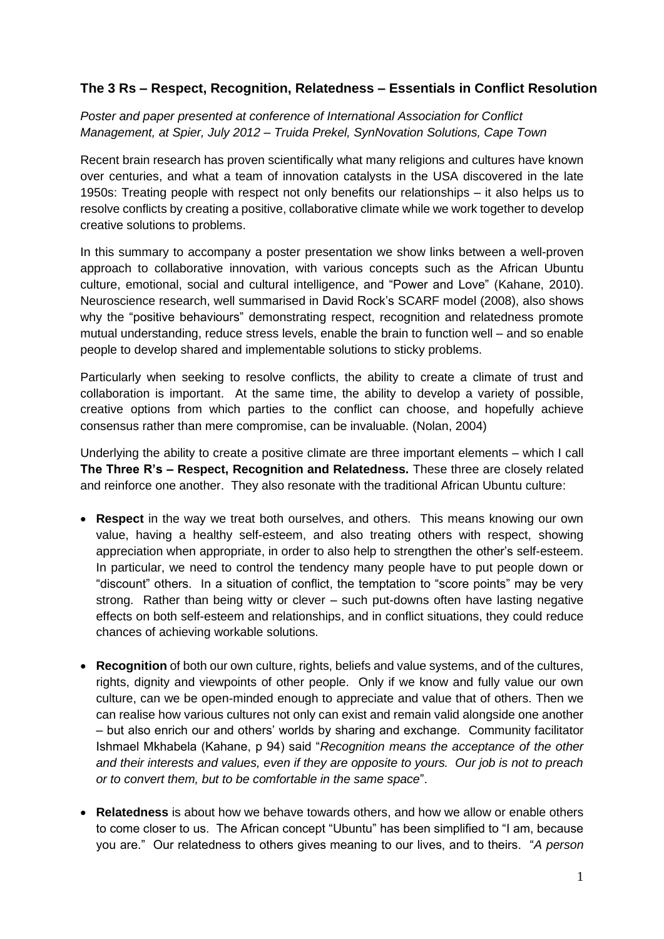# **The 3 Rs – Respect, Recognition, Relatedness – Essentials in Conflict Resolution**

# *Poster and paper presented at conference of International Association for Conflict Management, at Spier, July 2012 – Truida Prekel, SynNovation Solutions, Cape Town*

Recent brain research has proven scientifically what many religions and cultures have known over centuries, and what a team of innovation catalysts in the USA discovered in the late 1950s: Treating people with respect not only benefits our relationships – it also helps us to resolve conflicts by creating a positive, collaborative climate while we work together to develop creative solutions to problems.

In this summary to accompany a poster presentation we show links between a well-proven approach to collaborative innovation, with various concepts such as the African Ubuntu culture, emotional, social and cultural intelligence, and "Power and Love" (Kahane, 2010). Neuroscience research, well summarised in David Rock's SCARF model (2008), also shows why the "positive behaviours" demonstrating respect, recognition and relatedness promote mutual understanding, reduce stress levels, enable the brain to function well – and so enable people to develop shared and implementable solutions to sticky problems.

Particularly when seeking to resolve conflicts, the ability to create a climate of trust and collaboration is important. At the same time, the ability to develop a variety of possible, creative options from which parties to the conflict can choose, and hopefully achieve consensus rather than mere compromise, can be invaluable. (Nolan, 2004)

Underlying the ability to create a positive climate are three important elements – which I call **The Three R's – Respect, Recognition and Relatedness.** These three are closely related and reinforce one another. They also resonate with the traditional African Ubuntu culture:

- **Respect** in the way we treat both ourselves, and others. This means knowing our own value, having a healthy self-esteem, and also treating others with respect, showing appreciation when appropriate, in order to also help to strengthen the other's self-esteem. In particular, we need to control the tendency many people have to put people down or "discount" others. In a situation of conflict, the temptation to "score points" may be very strong. Rather than being witty or clever – such put-downs often have lasting negative effects on both self-esteem and relationships, and in conflict situations, they could reduce chances of achieving workable solutions.
- **Recognition** of both our own culture, rights, beliefs and value systems, and of the cultures, rights, dignity and viewpoints of other people. Only if we know and fully value our own culture, can we be open-minded enough to appreciate and value that of others. Then we can realise how various cultures not only can exist and remain valid alongside one another – but also enrich our and others' worlds by sharing and exchange. Community facilitator Ishmael Mkhabela (Kahane, p 94) said "*Recognition means the acceptance of the other and their interests and values, even if they are opposite to yours. Our job is not to preach or to convert them, but to be comfortable in the same space*".
- **Relatedness** is about how we behave towards others, and how we allow or enable others to come closer to us. The African concept "Ubuntu" has been simplified to "I am, because you are." Our relatedness to others gives meaning to our lives, and to theirs. "*A person*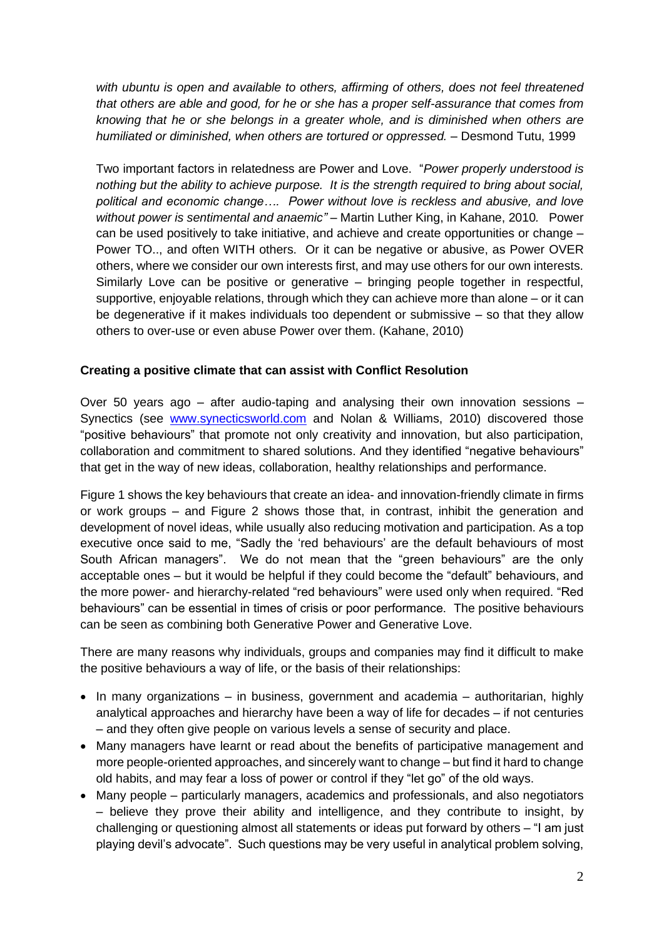*with ubuntu is open and available to others, affirming of others, does not feel threatened that others are able and good, for he or she has a proper self-assurance that comes from knowing that he or she belongs in a greater whole, and is diminished when others are humiliated or diminished, when others are tortured or oppressed. –* Desmond Tutu, 1999

Two important factors in relatedness are Power and Love. "*Power properly understood is nothing but the ability to achieve purpose. It is the strength required to bring about social, political and economic change…. Power without love is reckless and abusive, and love without power is sentimental and anaemic" –* Martin Luther King, in Kahane, 2010*.* Power can be used positively to take initiative, and achieve and create opportunities or change – Power TO.., and often WITH others. Or it can be negative or abusive, as Power OVER others, where we consider our own interests first, and may use others for our own interests. Similarly Love can be positive or generative – bringing people together in respectful, supportive, enjoyable relations, through which they can achieve more than alone – or it can be degenerative if it makes individuals too dependent or submissive – so that they allow others to over-use or even abuse Power over them. (Kahane, 2010)

# **Creating a positive climate that can assist with Conflict Resolution**

Over 50 years ago – after audio-taping and analysing their own innovation sessions – Synectics (see [www.synecticsworld.com](http://www.synecticsworld.com/) and Nolan & Williams, 2010) discovered those "positive behaviours" that promote not only creativity and innovation, but also participation, collaboration and commitment to shared solutions. And they identified "negative behaviours" that get in the way of new ideas, collaboration, healthy relationships and performance.

Figure 1 shows the key behaviours that create an idea- and innovation-friendly climate in firms or work groups – and Figure 2 shows those that, in contrast, inhibit the generation and development of novel ideas, while usually also reducing motivation and participation. As a top executive once said to me, "Sadly the 'red behaviours' are the default behaviours of most South African managers". We do not mean that the "green behaviours" are the only acceptable ones – but it would be helpful if they could become the "default" behaviours, and the more power- and hierarchy-related "red behaviours" were used only when required. "Red behaviours" can be essential in times of crisis or poor performance. The positive behaviours can be seen as combining both Generative Power and Generative Love.

There are many reasons why individuals, groups and companies may find it difficult to make the positive behaviours a way of life, or the basis of their relationships:

- In many organizations in business, government and academia authoritarian, highly analytical approaches and hierarchy have been a way of life for decades – if not centuries – and they often give people on various levels a sense of security and place.
- Many managers have learnt or read about the benefits of participative management and more people-oriented approaches, and sincerely want to change – but find it hard to change old habits, and may fear a loss of power or control if they "let go" of the old ways.
- Many people particularly managers, academics and professionals, and also negotiators – believe they prove their ability and intelligence, and they contribute to insight, by challenging or questioning almost all statements or ideas put forward by others – "I am just playing devil's advocate". Such questions may be very useful in analytical problem solving,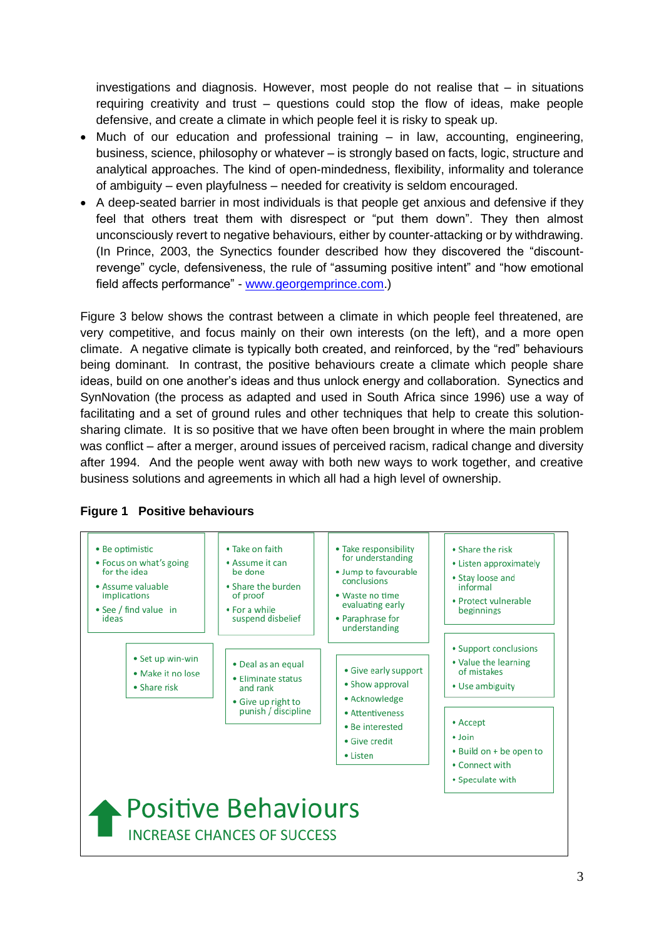investigations and diagnosis. However, most people do not realise that – in situations requiring creativity and trust – questions could stop the flow of ideas, make people defensive, and create a climate in which people feel it is risky to speak up.

- Much of our education and professional training in law, accounting, engineering, business, science, philosophy or whatever – is strongly based on facts, logic, structure and analytical approaches. The kind of open-mindedness, flexibility, informality and tolerance of ambiguity – even playfulness – needed for creativity is seldom encouraged.
- A deep-seated barrier in most individuals is that people get anxious and defensive if they feel that others treat them with disrespect or "put them down". They then almost unconsciously revert to negative behaviours, either by counter-attacking or by withdrawing. (In Prince, 2003, the Synectics founder described how they discovered the "discountrevenge" cycle, defensiveness, the rule of "assuming positive intent" and "how emotional field affects performance" - [www.georgemprince.com.](http://www.georgemprince.com/))

Figure 3 below shows the contrast between a climate in which people feel threatened, are very competitive, and focus mainly on their own interests (on the left), and a more open climate. A negative climate is typically both created, and reinforced, by the "red" behaviours being dominant. In contrast, the positive behaviours create a climate which people share ideas, build on one another's ideas and thus unlock energy and collaboration. Synectics and SynNovation (the process as adapted and used in South Africa since 1996) use a way of facilitating and a set of ground rules and other techniques that help to create this solutionsharing climate. It is so positive that we have often been brought in where the main problem was conflict – after a merger, around issues of perceived racism, radical change and diversity after 1994. And the people went away with both new ways to work together, and creative business solutions and agreements in which all had a high level of ownership.



# **Figure 1 Positive behaviours**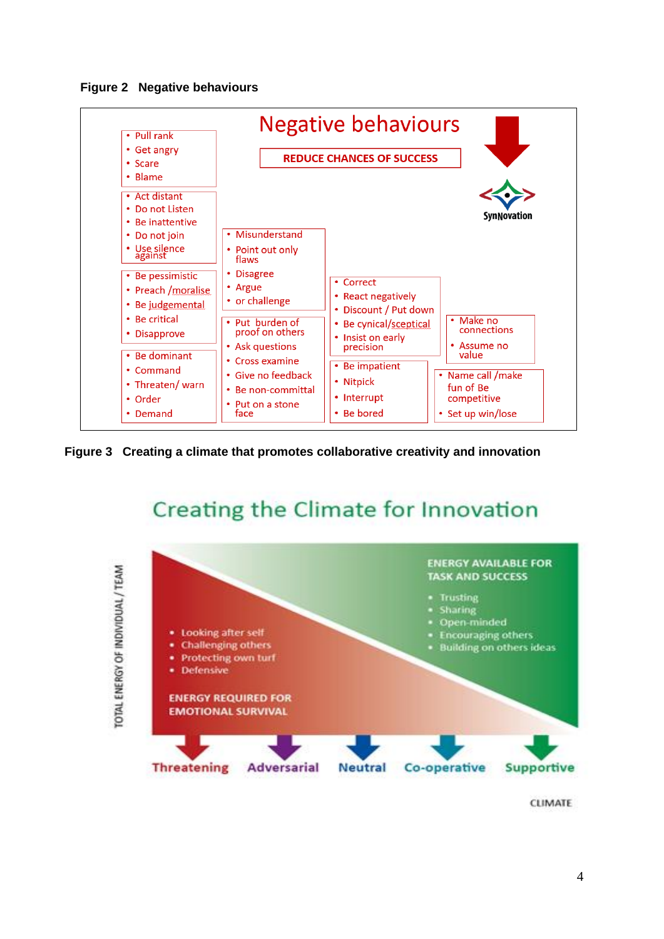**Figure 2 Negative behaviours**



**Figure 3 Creating a climate that promotes collaborative creativity and innovation**

# Creating the Climate for Innovation





CLIMATE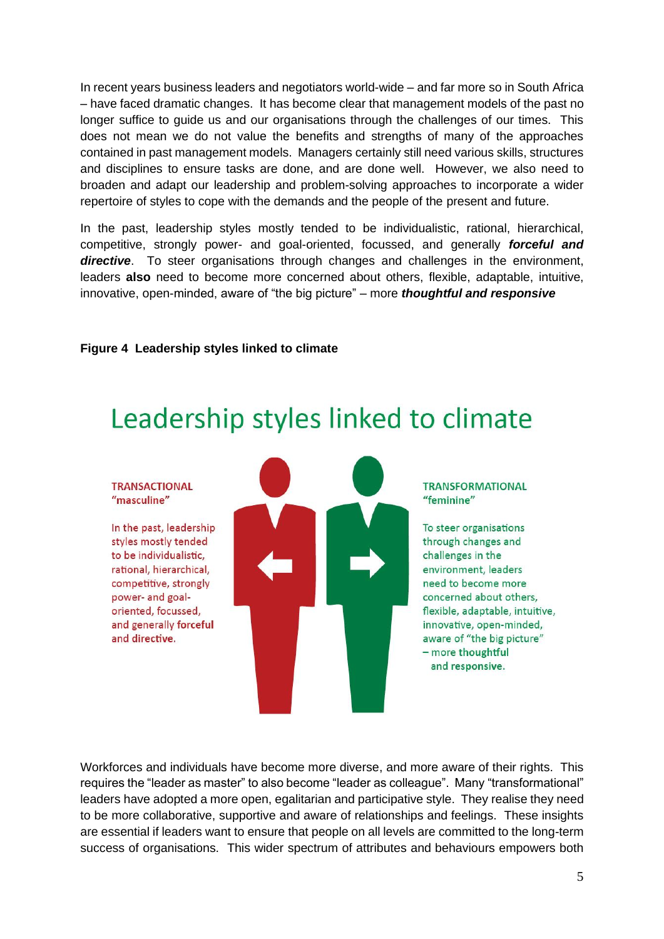In recent years business leaders and negotiators world-wide – and far more so in South Africa – have faced dramatic changes. It has become clear that management models of the past no longer suffice to guide us and our organisations through the challenges of our times. This does not mean we do not value the benefits and strengths of many of the approaches contained in past management models. Managers certainly still need various skills, structures and disciplines to ensure tasks are done, and are done well. However, we also need to broaden and adapt our leadership and problem-solving approaches to incorporate a wider repertoire of styles to cope with the demands and the people of the present and future.

In the past, leadership styles mostly tended to be individualistic, rational, hierarchical, competitive, strongly power- and goal-oriented, focussed, and generally *forceful and directive*. To steer organisations through changes and challenges in the environment, leaders **also** need to become more concerned about others, flexible, adaptable, intuitive, innovative, open-minded, aware of "the big picture" – more *thoughtful and responsive*

## **Figure 4 Leadership styles linked to climate**

# Leadership styles linked to climate

#### **TRANSACTIONAL** "masculine"

In the past, leadership styles mostly tended to be individualistic, rational, hierarchical, competitive, strongly power- and goaloriented, focussed, and generally forceful and directive.



#### **TRANSFORMATIONAL** "feminine"

To steer organisations through changes and challenges in the environment, leaders need to become more concerned about others, flexible, adaptable, intuitive, innovative, open-minded, aware of "the big picture" - more thoughtful and responsive.

Workforces and individuals have become more diverse, and more aware of their rights. This requires the "leader as master" to also become "leader as colleague". Many "transformational" leaders have adopted a more open, egalitarian and participative style. They realise they need to be more collaborative, supportive and aware of relationships and feelings. These insights are essential if leaders want to ensure that people on all levels are committed to the long-term success of organisations. This wider spectrum of attributes and behaviours empowers both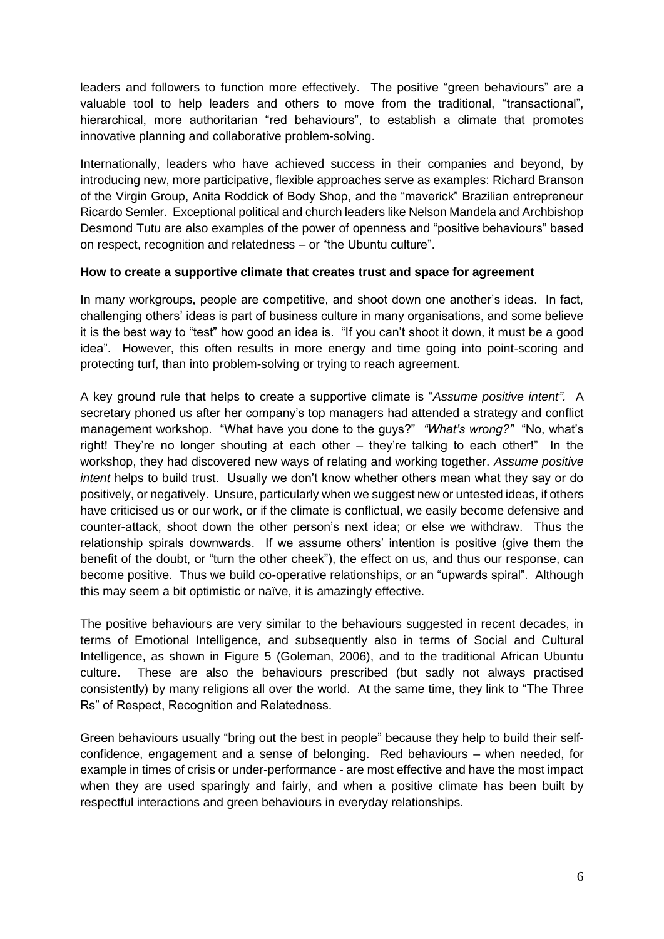leaders and followers to function more effectively. The positive "green behaviours" are a valuable tool to help leaders and others to move from the traditional, "transactional", hierarchical, more authoritarian "red behaviours", to establish a climate that promotes innovative planning and collaborative problem-solving.

Internationally, leaders who have achieved success in their companies and beyond, by introducing new, more participative, flexible approaches serve as examples: Richard Branson of the Virgin Group, Anita Roddick of Body Shop, and the "maverick" Brazilian entrepreneur Ricardo Semler. Exceptional political and church leaders like Nelson Mandela and Archbishop Desmond Tutu are also examples of the power of openness and "positive behaviours" based on respect, recognition and relatedness – or "the Ubuntu culture".

# **How to create a supportive climate that creates trust and space for agreement**

In many workgroups, people are competitive, and shoot down one another's ideas. In fact, challenging others' ideas is part of business culture in many organisations, and some believe it is the best way to "test" how good an idea is. "If you can't shoot it down, it must be a good idea". However, this often results in more energy and time going into point-scoring and protecting turf, than into problem-solving or trying to reach agreement.

A key ground rule that helps to create a supportive climate is "*Assume positive intent".* A secretary phoned us after her company's top managers had attended a strategy and conflict management workshop. "What have you done to the guys?" *"What's wrong?"* "No, what's right! They're no longer shouting at each other – they're talking to each other!" In the workshop, they had discovered new ways of relating and working together. *Assume positive intent* helps to build trust. Usually we don't know whether others mean what they say or do positively, or negatively. Unsure, particularly when we suggest new or untested ideas, if others have criticised us or our work, or if the climate is conflictual, we easily become defensive and counter-attack, shoot down the other person's next idea; or else we withdraw. Thus the relationship spirals downwards. If we assume others' intention is positive (give them the benefit of the doubt, or "turn the other cheek"), the effect on us, and thus our response, can become positive. Thus we build co-operative relationships, or an "upwards spiral". Although this may seem a bit optimistic or naïve, it is amazingly effective.

The positive behaviours are very similar to the behaviours suggested in recent decades, in terms of Emotional Intelligence, and subsequently also in terms of Social and Cultural Intelligence, as shown in Figure 5 (Goleman, 2006), and to the traditional African Ubuntu culture. These are also the behaviours prescribed (but sadly not always practised consistently) by many religions all over the world. At the same time, they link to "The Three Rs" of Respect, Recognition and Relatedness.

Green behaviours usually "bring out the best in people" because they help to build their selfconfidence, engagement and a sense of belonging. Red behaviours – when needed, for example in times of crisis or under-performance - are most effective and have the most impact when they are used sparingly and fairly, and when a positive climate has been built by respectful interactions and green behaviours in everyday relationships.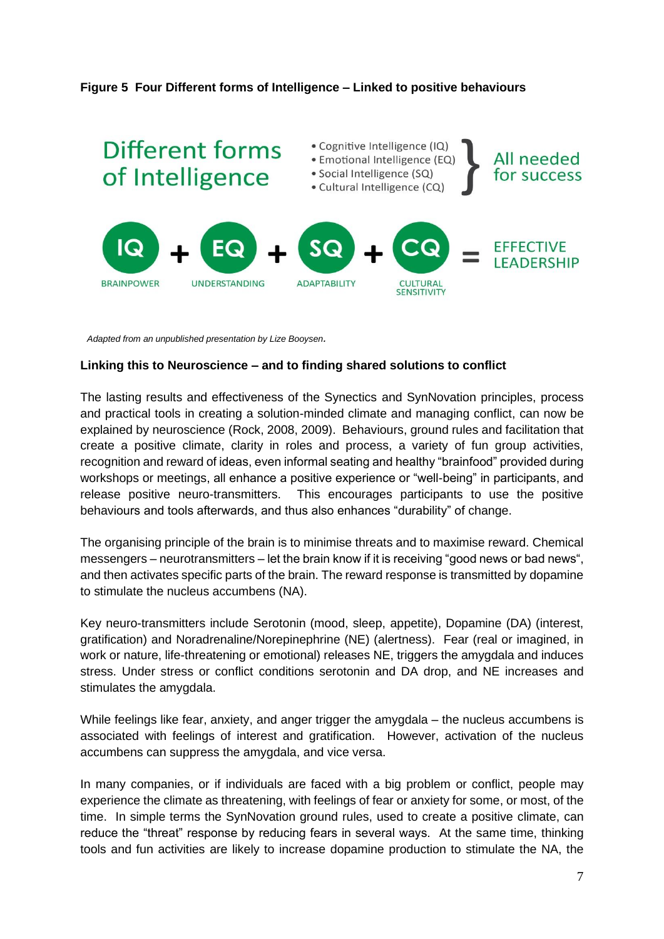# **Figure 5 Four Different forms of Intelligence – Linked to positive behaviours**



*Adapted from an unpublished presentation by Lize Booysen.*

## **Linking this to Neuroscience – and to finding shared solutions to conflict**

The lasting results and effectiveness of the Synectics and SynNovation principles, process and practical tools in creating a solution-minded climate and managing conflict, can now be explained by neuroscience (Rock, 2008, 2009). Behaviours, ground rules and facilitation that create a positive climate, clarity in roles and process, a variety of fun group activities, recognition and reward of ideas, even informal seating and healthy "brainfood" provided during workshops or meetings, all enhance a positive experience or "well-being" in participants, and release positive neuro-transmitters. This encourages participants to use the positive behaviours and tools afterwards, and thus also enhances "durability" of change.

The organising principle of the brain is to minimise threats and to maximise reward. Chemical messengers – neurotransmitters – let the brain know if it is receiving "good news or bad news", and then activates specific parts of the brain. The reward response is transmitted by dopamine to stimulate the nucleus accumbens (NA).

Key neuro-transmitters include Serotonin (mood, sleep, appetite), Dopamine (DA) (interest, gratification) and Noradrenaline/Norepinephrine (NE) (alertness). Fear (real or imagined, in work or nature, life-threatening or emotional) releases NE, triggers the amygdala and induces stress. Under stress or conflict conditions serotonin and DA drop, and NE increases and stimulates the amygdala.

While feelings like fear, anxiety, and anger trigger the amygdala – the nucleus accumbens is associated with feelings of interest and gratification. However, activation of the nucleus accumbens can suppress the amygdala, and vice versa.

In many companies, or if individuals are faced with a big problem or conflict, people may experience the climate as threatening, with feelings of fear or anxiety for some, or most, of the time. In simple terms the SynNovation ground rules, used to create a positive climate, can reduce the "threat" response by reducing fears in several ways. At the same time, thinking tools and fun activities are likely to increase dopamine production to stimulate the NA, the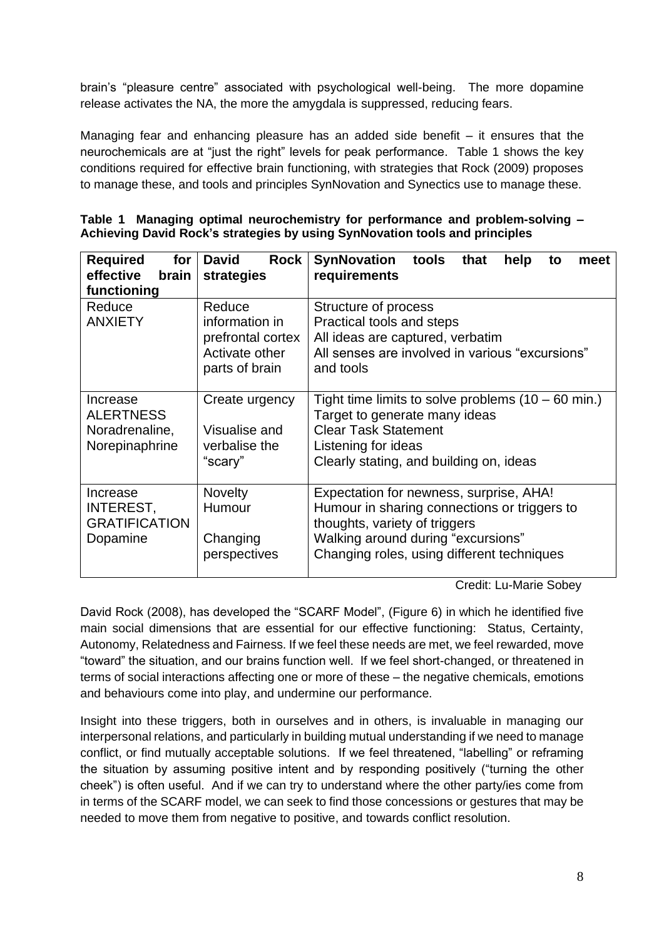brain's "pleasure centre" associated with psychological well-being. The more dopamine release activates the NA, the more the amygdala is suppressed, reducing fears.

Managing fear and enhancing pleasure has an added side benefit – it ensures that the neurochemicals are at "just the right" levels for peak performance. Table 1 shows the key conditions required for effective brain functioning, with strategies that Rock (2009) proposes to manage these, and tools and principles SynNovation and Synectics use to manage these.

|  |                                                                             |  | Table 1 Managing optimal neurochemistry for performance and problem-solving - |  |
|--|-----------------------------------------------------------------------------|--|-------------------------------------------------------------------------------|--|
|  | Achieving David Rock's strategies by using SynNovation tools and principles |  |                                                                               |  |

| <b>Required</b><br>for<br>effective<br>brain<br>functioning      | <b>Rock</b><br><b>David</b><br>strategies                                         | <b>SynNovation</b><br>tools<br>that<br>help<br>meet<br>to<br>requirements                                                                                                                                    |  |  |  |  |  |
|------------------------------------------------------------------|-----------------------------------------------------------------------------------|--------------------------------------------------------------------------------------------------------------------------------------------------------------------------------------------------------------|--|--|--|--|--|
| Reduce<br><b>ANXIETY</b>                                         | Reduce<br>information in<br>prefrontal cortex<br>Activate other<br>parts of brain | Structure of process<br>Practical tools and steps<br>All ideas are captured, verbatim<br>All senses are involved in various "excursions"<br>and tools                                                        |  |  |  |  |  |
| Increase<br><b>ALERTNESS</b><br>Noradrenaline,<br>Norepinaphrine | Create urgency<br>Visualise and<br>verbalise the<br>"scary"                       | Tight time limits to solve problems $(10 - 60$ min.)<br>Target to generate many ideas<br><b>Clear Task Statement</b><br>Listening for ideas<br>Clearly stating, and building on, ideas                       |  |  |  |  |  |
| Increase<br><b>INTEREST,</b><br><b>GRATIFICATION</b><br>Dopamine | <b>Novelty</b><br>Humour<br>Changing<br>perspectives                              | Expectation for newness, surprise, AHA!<br>Humour in sharing connections or triggers to<br>thoughts, variety of triggers<br>Walking around during "excursions"<br>Changing roles, using different techniques |  |  |  |  |  |

Credit: Lu-Marie Sobey

David Rock (2008), has developed the "SCARF Model", (Figure 6) in which he identified five main social dimensions that are essential for our effective functioning: Status, Certainty, Autonomy, Relatedness and Fairness. If we feel these needs are met, we feel rewarded, move "toward" the situation, and our brains function well. If we feel short-changed, or threatened in terms of social interactions affecting one or more of these – the negative chemicals, emotions and behaviours come into play, and undermine our performance.

Insight into these triggers, both in ourselves and in others, is invaluable in managing our interpersonal relations, and particularly in building mutual understanding if we need to manage conflict, or find mutually acceptable solutions. If we feel threatened, "labelling" or reframing the situation by assuming positive intent and by responding positively ("turning the other cheek") is often useful. And if we can try to understand where the other party/ies come from in terms of the SCARF model, we can seek to find those concessions or gestures that may be needed to move them from negative to positive, and towards conflict resolution.